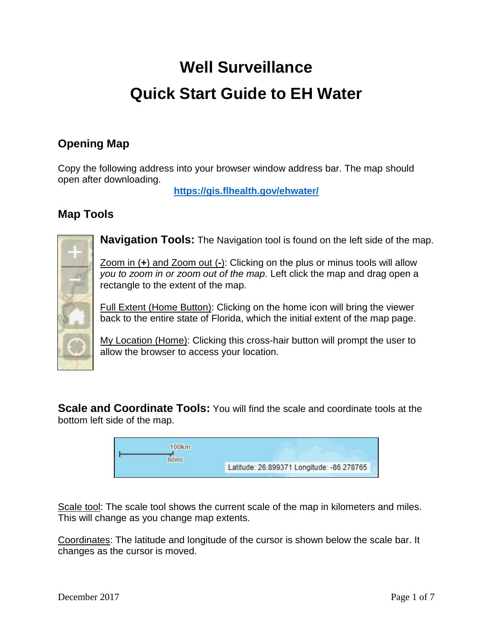# **Well Surveillance Quick Start Guide to EH Water**

## **Opening Map**

Copy the following address into your browser window address bar. The map should open after downloading.

**https://gis.flhealth.gov/ehwater/**

### **Map Tools**



**Navigation Tools:** The Navigation tool is found on the left side of the map.

Zoom in (**+**) and Zoom out (**-**): Clicking on the plus or minus tools will allow *you to zoom in or zoom out of the map.* Left click the map and drag open a rectangle to the extent of the map.

Full Extent (Home Button): Clicking on the home icon will bring the viewer back to the entire state of Florida, which the initial extent of the map page.

My Location (Home): Clicking this cross-hair button will prompt the user to allow the browser to access your location.

**Scale and Coordinate Tools:** You will find the scale and coordinate tools at the bottom left side of the map.

| 100km |                                           |  |
|-------|-------------------------------------------|--|
|       | Latitude: 26.899371 Longitude: -86.278765 |  |
|       |                                           |  |

Scale tool: The scale tool shows the current scale of the map in kilometers and miles. This will change as you change map extents.

Coordinates: The latitude and longitude of the cursor is shown below the scale bar. It changes as the cursor is moved.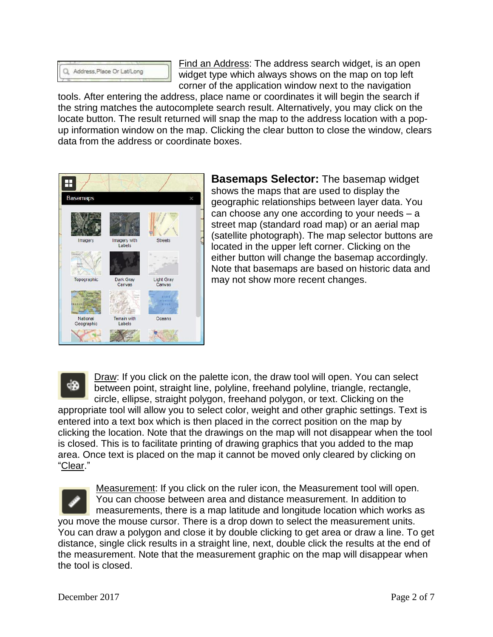

Find an Address: The address search widget, is an open widget type which always shows on the map on top left corner of the application window next to the navigation

tools. After entering the address, place name or coordinates it will begin the search if the string matches the autocomplete search result. Alternatively, you may click on the locate button. The result returned will snap the map to the address location with a popup information window on the map. Clicking the clear button to close the window, clears data from the address or coordinate boxes.



**Basemaps Selector:** The basemap widget shows the maps that are used to display the geographic relationships between layer data. You can choose any one according to your needs – a street map (standard road map) or an aerial map (satellite photograph). The map selector buttons are located in the upper left corner. Clicking on the either button will change the basemap accordingly. Note that basemaps are based on historic data and may not show more recent changes.

⊲i⊗

Draw: If you click on the palette icon, the draw tool will open. You can select between point, straight line, polyline, freehand polyline, triangle, rectangle, circle, ellipse, straight polygon, freehand polygon, or text. Clicking on the

appropriate tool will allow you to select color, weight and other graphic settings. Text is entered into a text box which is then placed in the correct position on the map by clicking the location. Note that the drawings on the map will not disappear when the tool is closed. This is to facilitate printing of drawing graphics that you added to the map area. Once text is placed on the map it cannot be moved only cleared by clicking on "Clear."

Measurement: If you click on the ruler icon, the Measurement tool will open. You can choose between area and distance measurement. In addition to measurements, there is a map latitude and longitude location which works as you move the mouse cursor. There is a drop down to select the measurement units. You can draw a polygon and close it by double clicking to get area or draw a line. To get distance, single click results in a straight line, next, double click the results at the end of the measurement. Note that the measurement graphic on the map will disappear when the tool is closed.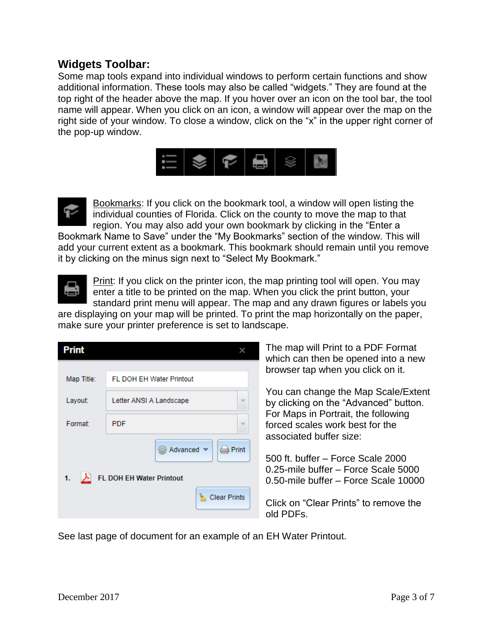#### **Widgets Toolbar:**

Some map tools expand into individual windows to perform certain functions and show additional information. These tools may also be called "widgets." They are found at the top right of the header above the map. If you hover over an icon on the tool bar, the tool name will appear. When you click on an icon, a window will appear over the map on the right side of your window. To close a window, click on the "x" in the upper right corner of the pop-up window.





Bookmarks: If you click on the bookmark tool, a window will open listing the individual counties of Florida. Click on the county to move the map to that region. You may also add your own bookmark by clicking in the "Enter a

Bookmark Name to Save" under the "My Bookmarks" section of the window. This will add your current extent as a bookmark. This bookmark should remain until you remove it by clicking on the minus sign next to "Select My Bookmark."



**Print:** If you click on the printer icon, the map printing tool will open. You may enter a title to be printed on the map. When you click the print button, your standard print menu will appear. The map and any drawn figures or labels you

are displaying on your map will be printed. To print the map horizontally on the paper, make sure your printer preference is set to landscape.

| <b>Print</b>                                                                                       |                                 |  |  |
|----------------------------------------------------------------------------------------------------|---------------------------------|--|--|
| Map Title:                                                                                         | <b>FL DOH EH Water Printout</b> |  |  |
| Layout:                                                                                            | Letter ANSI A Landscape         |  |  |
| Format:                                                                                            | <b>PDF</b>                      |  |  |
| Advanced v<br>$\Longleftrightarrow$ Print<br>FL DOH EH Water Printout<br>1.<br><b>Clear Prints</b> |                                 |  |  |

The map will Print to a PDF Format which can then be opened into a new browser tap when you click on it.

You can change the Map Scale/Extent by clicking on the "Advanced" button. For Maps in Portrait, the following forced scales work best for the associated buffer size:

500 ft. buffer – Force Scale 2000 0.25-mile buffer – Force Scale 5000 0.50-mile buffer – Force Scale 10000

Click on "Clear Prints" to remove the old PDFs.

See last page of document for an example of an EH Water Printout.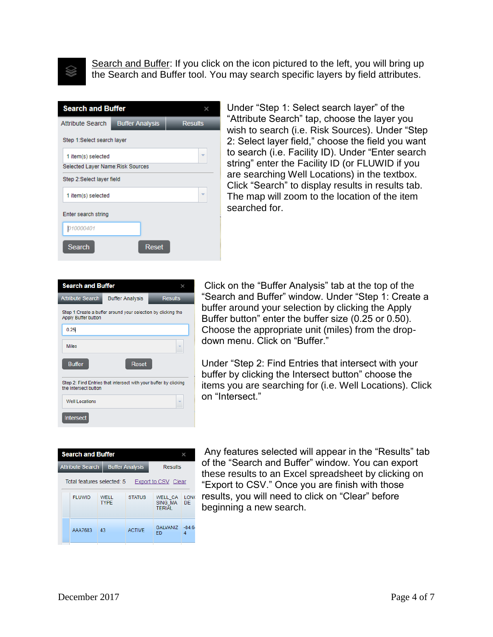

Search and Buffer: If you click on the icon pictured to the left, you will bring up the Search and Buffer tool. You may search specific layers by field attributes.

| <b>Search and Buffer</b>                                                            |                        |       |                |  |
|-------------------------------------------------------------------------------------|------------------------|-------|----------------|--|
| <b>Attribute Search</b>                                                             | <b>Buffer Analysis</b> |       | <b>Results</b> |  |
| Step 1:Select search layer                                                          |                        |       |                |  |
| $\overline{\phantom{a}}$<br>1 item(s) selected<br>Selected Layer Name: Risk Sources |                        |       |                |  |
| Step 2:Select layer field                                                           |                        |       |                |  |
| ÷<br>1 item(s) selected                                                             |                        |       |                |  |
| Enter search string                                                                 |                        |       |                |  |
| 010000401                                                                           |                        |       |                |  |
| Search                                                                              |                        | Reset |                |  |

Under "Step 1: Select search layer" of the "Attribute Search" tap, choose the layer you wish to search (i.e. Risk Sources). Under "Step 2: Select layer field," choose the field you want to search (i.e. Facility ID). Under "Enter search string" enter the Facility ID (or FLUWID if you are searching Well Locations) in the textbox. Click "Search" to display results in results tab. The map will zoom to the location of the item searched for.

| <b>Search and Buffer</b>                                                                    |                        |                |  |
|---------------------------------------------------------------------------------------------|------------------------|----------------|--|
| <b>Attribute Search</b>                                                                     | <b>Buffer Analysis</b> | <b>Results</b> |  |
| Step 1: Create a buffer around your selection by clicking the<br><b>Apply Buffer button</b> |                        |                |  |
| 0.25                                                                                        |                        |                |  |
| <b>Miles</b>                                                                                |                        |                |  |
| <b>Buffer</b>                                                                               | Reset                  |                |  |
| Step 2: Find Entries that intersect with your buffer by clicking<br>the Intersect button    |                        |                |  |
| Well Locations                                                                              |                        |                |  |
| <b>Intersect</b>                                                                            |                        |                |  |

Click on the "Buffer Analysis" tab at the top of the "Search and Buffer" window. Under "Step 1: Create a buffer around your selection by clicking the Apply Buffer button" enter the buffer size (0.25 or 0.50). Choose the appropriate unit (miles) from the dropdown menu. Click on "Buffer."

Under "Step 2: Find Entries that intersect with your buffer by clicking the Intersect button" choose the items you are searching for (i.e. Well Locations). Click on "Intersect."

|                                                   | <b>Search and Buffer</b> |                     |                        |                                     |                   |
|---------------------------------------------------|--------------------------|---------------------|------------------------|-------------------------------------|-------------------|
|                                                   | <b>Attribute Search</b>  |                     | <b>Buffer Analysis</b> |                                     | <b>Results</b>    |
| Total features selected: 5<br>Export to CSV Clear |                          |                     |                        |                                     |                   |
|                                                   | <b>FI UWID</b>           | WFII<br><b>TYPF</b> | <b>STATUS</b>          | WELL CA<br>SING MA<br><b>TERIAL</b> | <b>LONG</b><br>DF |
|                                                   | AAA7683                  | 43                  | <b>ACTIVE</b>          | <b>GAI VANIZ</b><br>FD              | $-84.64$<br>Δ     |

Any features selected will appear in the "Results" tab of the "Search and Buffer" window. You can export these results to an Excel spreadsheet by clicking on "Export to CSV." Once you are finish with those results, you will need to click on "Clear" before beginning a new search.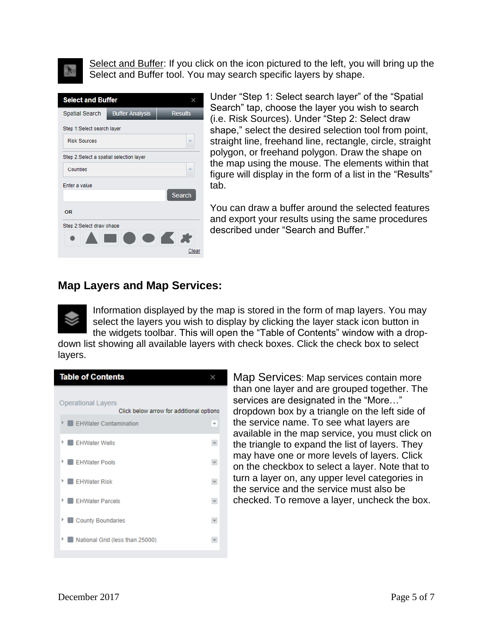Select and Buffer: If you click on the icon pictured to the left, you will bring up the Select and Buffer tool. You may search specific layers by shape.



Under "Step 1: Select search layer" of the "Spatial Search" tap, choose the layer you wish to search (i.e. Risk Sources). Under "Step 2: Select draw shape," select the desired selection tool from point, straight line, freehand line, rectangle, circle, straight polygon, or freehand polygon. Draw the shape on the map using the mouse. The elements within that figure will display in the form of a list in the "Results" tab.

You can draw a buffer around the selected features and export your results using the same procedures described under "Search and Buffer."

#### **Map Layers and Map Services:**



Information displayed by the map is stored in the form of map layers. You may select the layers you wish to display by clicking the layer stack icon button in the widgets toolbar. This will open the "Table of Contents" window with a drop-

down list showing all available layers with check boxes. Click the check box to select layers.



Map Services: Map services contain more than one layer and are grouped together. The services are designated in the "More…" dropdown box by a triangle on the left side of the service name. To see what layers are available in the map service, you must click on the triangle to expand the list of layers. They may have one or more levels of layers. Click on the checkbox to select a layer. Note that to turn a layer on, any upper level categories in the service and the service must also be checked. To remove a layer, uncheck the box.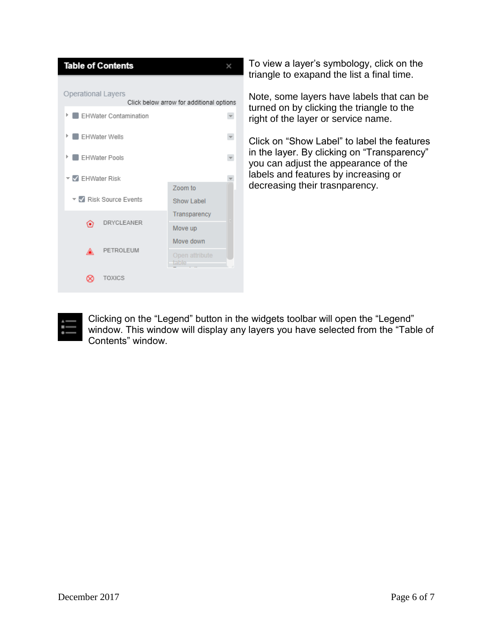| <b>Table of Contents</b>                                       |                         |  |  |  |
|----------------------------------------------------------------|-------------------------|--|--|--|
| Operational Layers<br>Click below arrow for additional options |                         |  |  |  |
| <b>EHWater Contamination</b><br>Þ                              |                         |  |  |  |
| I EHWater Wells<br>Þ                                           |                         |  |  |  |
| <b>EHWater Pools</b>                                           |                         |  |  |  |
| ▼ Z EHWater Risk                                               | Zoom to                 |  |  |  |
| ▼ V Risk Source Events                                         | Show Label              |  |  |  |
| <b>DRYCLEANER</b><br>⊙                                         | Transparency            |  |  |  |
|                                                                | Move up                 |  |  |  |
| PETROLEUM                                                      | Move down               |  |  |  |
| ◬                                                              | Open attribute<br>table |  |  |  |
| <b>TOXICS</b>                                                  |                         |  |  |  |

To view a layer's symbology, click on the triangle to exapand the list a final time.

Note, some layers have labels that can be turned on by clicking the triangle to the right of the layer or service name.

Click on "Show Label" to label the features in the layer. By clicking on "Transparency" you can adjust the appearance of the labels and features by increasing or decreasing their trasnparency.



Clicking on the "Legend" button in the widgets toolbar will open the "Legend" window. This window will display any layers you have selected from the "Table of Contents" window.